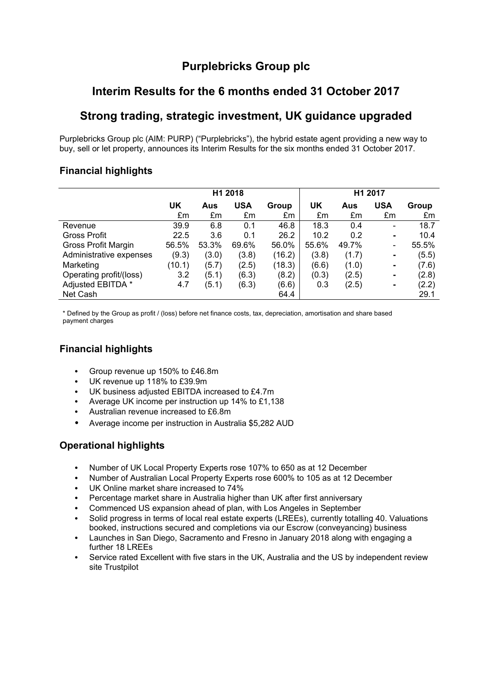# **Purplebricks Group plc**

# **Interim Results for the 6 months ended 31 October 2017**

# **Strong trading, strategic investment, UK guidance upgraded**

Purplebricks Group plc (AIM: PURP) ("Purplebricks"), the hybrid estate agent providing a new way to buy, sell or let property, announces its Interim Results for the six months ended 31 October 2017.

# **Financial highlights**

|                         | H1 2018 |       |            |        | H1 2017 |       |                          |       |
|-------------------------|---------|-------|------------|--------|---------|-------|--------------------------|-------|
|                         | UK      | Aus   | <b>USA</b> | Group  | UK      | Aus   | <b>USA</b>               | Group |
|                         | £m      | £m    | £m         | £m     | £m      | £m    | £m                       | £m    |
| Revenue                 | 39.9    | 6.8   | 0.1        | 46.8   | 18.3    | 0.4   | $\overline{\phantom{0}}$ | 18.7  |
| Gross Profit            | 22.5    | 3.6   | 0.1        | 26.2   | 10.2    | 0.2   | ۰                        | 10.4  |
| Gross Profit Margin     | 56.5%   | 53.3% | 69.6%      | 56.0%  | 55.6%   | 49.7% | -                        | 55.5% |
| Administrative expenses | (9.3)   | (3.0) | (3.8)      | (16.2) | (3.8)   | (1.7) | ۰                        | (5.5) |
| Marketing               | (10.1)  | (5.7) | (2.5)      | (18.3) | (6.6)   | (1.0) | ٠                        | (7.6) |
| Operating profit/(loss) | 3.2     | (5.1) | (6.3)      | (8.2)  | (0.3)   | (2.5) | ۰                        | (2.8) |
| Adjusted EBITDA *       | 4.7     | (5.1) | (6.3)      | (6.6)  | 0.3     | (2.5) | ۰                        | (2.2) |
| Net Cash                |         |       |            | 64.4   |         |       |                          | 29.1  |

\* Defined by the Group as profit / (loss) before net finance costs, tax, depreciation, amortisation and share based payment charges

# **Financial highlights**

- Group revenue up 150% to £46.8m
- UK revenue up 118% to £39.9m
- UK business adjusted EBITDA increased to £4.7m
- Average UK income per instruction up 14% to £1,138
- Australian revenue increased to £6.8m
- Average income per instruction in Australia \$5,282 AUD

# **Operational highlights**

- Number of UK Local Property Experts rose 107% to 650 as at 12 December
- Number of Australian Local Property Experts rose 600% to 105 as at 12 December
- UK Online market share increased to 74%
- Percentage market share in Australia higher than UK after first anniversary
- Commenced US expansion ahead of plan, with Los Angeles in September
- Solid progress in terms of local real estate experts (LREEs), currently totalling 40. Valuations booked, instructions secured and completions via our Escrow (conveyancing) business
- Launches in San Diego, Sacramento and Fresno in January 2018 along with engaging a further 18 LREEs
- Service rated Excellent with five stars in the UK, Australia and the US by independent review site Trustpilot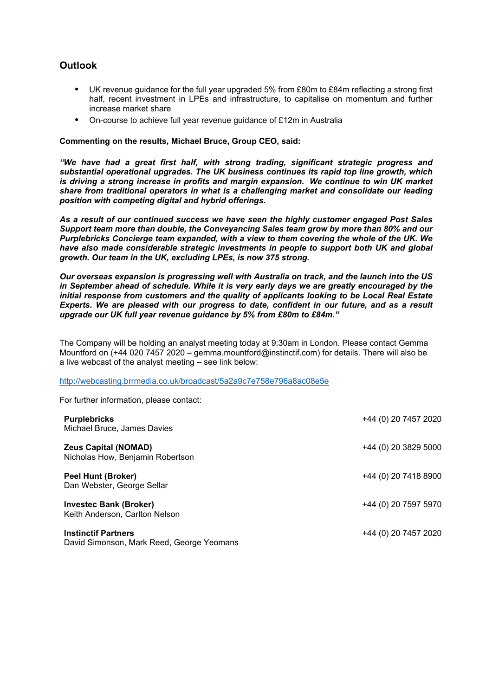## **Outlook**

- UK revenue guidance for the full year upgraded 5% from £80m to £84m reflecting a strong first half, recent investment in LPEs and infrastructure, to capitalise on momentum and further increase market share
- On-course to achieve full year revenue guidance of £12m in Australia

#### **Commenting on the results, Michael Bruce, Group CEO, said:**

*"We have had a great first half, with strong trading, significant strategic progress and substantial operational upgrades. The UK business continues its rapid top line growth, which is driving a strong increase in profits and margin expansion. We continue to win UK market share from traditional operators in what is a challenging market and consolidate our leading position with competing digital and hybrid offerings.*

*As a result of our continued success we have seen the highly customer engaged Post Sales Support team more than double, the Conveyancing Sales team grow by more than 80% and our Purplebricks Concierge team expanded, with a view to them covering the whole of the UK. We have also made considerable strategic investments in people to support both UK and global growth. Our team in the UK, excluding LPEs, is now 375 strong.*

*Our overseas expansion is progressing well with Australia on track, and the launch into the US in September ahead of schedule. While it is very early days we are greatly encouraged by the initial response from customers and the quality of applicants looking to be Local Real Estate Experts. We are pleased with our progress to date, confident in our future, and as a result upgrade our UK full year revenue guidance by 5% from £80m to £84m."*

The Company will be holding an analyst meeting today at 9:30am in London. Please contact Gemma Mountford on (+44 020 7457 2020 – gemma.mountford@instinctif.com) for details. There will also be a live webcast of the analyst meeting – see link below:

http://webcasting.brrmedia.co.uk/broadcast/5a2a9c7e758e796a8ac08e5e

For further information, please contact:

| <b>Purplebricks</b><br>Michael Bruce, James Davies                      | +44 (0) 20 7457 2020 |
|-------------------------------------------------------------------------|----------------------|
| <b>Zeus Capital (NOMAD)</b><br>Nicholas How, Benjamin Robertson         | +44 (0) 20 3829 5000 |
| <b>Peel Hunt (Broker)</b><br>Dan Webster, George Sellar                 | +44 (0) 20 7418 8900 |
| <b>Investec Bank (Broker)</b><br>Keith Anderson, Carlton Nelson         | +44 (0) 20 7597 5970 |
| <b>Instinctif Partners</b><br>David Simonson, Mark Reed, George Yeomans | +44 (0) 20 7457 2020 |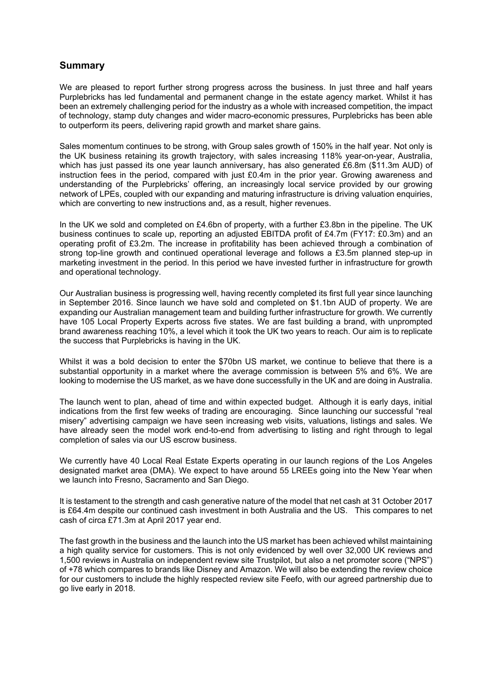### **Summary**

We are pleased to report further strong progress across the business. In just three and half years Purplebricks has led fundamental and permanent change in the estate agency market. Whilst it has been an extremely challenging period for the industry as a whole with increased competition, the impact of technology, stamp duty changes and wider macro-economic pressures, Purplebricks has been able to outperform its peers, delivering rapid growth and market share gains.

Sales momentum continues to be strong, with Group sales growth of 150% in the half year. Not only is the UK business retaining its growth trajectory, with sales increasing 118% year-on-year, Australia, which has just passed its one year launch anniversary, has also generated £6.8m (\$11.3m AUD) of instruction fees in the period, compared with just £0.4m in the prior year. Growing awareness and understanding of the Purplebricks' offering, an increasingly local service provided by our growing network of LPEs, coupled with our expanding and maturing infrastructure is driving valuation enquiries, which are converting to new instructions and, as a result, higher revenues.

In the UK we sold and completed on £4.6bn of property, with a further £3.8bn in the pipeline. The UK business continues to scale up, reporting an adjusted EBITDA profit of £4.7m (FY17: £0.3m) and an operating profit of £3.2m. The increase in profitability has been achieved through a combination of strong top-line growth and continued operational leverage and follows a £3.5m planned step-up in marketing investment in the period. In this period we have invested further in infrastructure for growth and operational technology.

Our Australian business is progressing well, having recently completed its first full year since launching in September 2016. Since launch we have sold and completed on \$1.1bn AUD of property. We are expanding our Australian management team and building further infrastructure for growth. We currently have 105 Local Property Experts across five states. We are fast building a brand, with unprompted brand awareness reaching 10%, a level which it took the UK two years to reach. Our aim is to replicate the success that Purplebricks is having in the UK.

Whilst it was a bold decision to enter the \$70bn US market, we continue to believe that there is a substantial opportunity in a market where the average commission is between 5% and 6%. We are looking to modernise the US market, as we have done successfully in the UK and are doing in Australia.

The launch went to plan, ahead of time and within expected budget. Although it is early days, initial indications from the first few weeks of trading are encouraging. Since launching our successful "real misery" advertising campaign we have seen increasing web visits, valuations, listings and sales. We have already seen the model work end-to-end from advertising to listing and right through to legal completion of sales via our US escrow business.

We currently have 40 Local Real Estate Experts operating in our launch regions of the Los Angeles designated market area (DMA). We expect to have around 55 LREEs going into the New Year when we launch into Fresno, Sacramento and San Diego.

It is testament to the strength and cash generative nature of the model that net cash at 31 October 2017 is £64.4m despite our continued cash investment in both Australia and the US. This compares to net cash of circa £71.3m at April 2017 year end.

The fast growth in the business and the launch into the US market has been achieved whilst maintaining a high quality service for customers. This is not only evidenced by well over 32,000 UK reviews and 1,500 reviews in Australia on independent review site Trustpilot, but also a net promoter score ("NPS") of +78 which compares to brands like Disney and Amazon. We will also be extending the review choice for our customers to include the highly respected review site Feefo, with our agreed partnership due to go live early in 2018.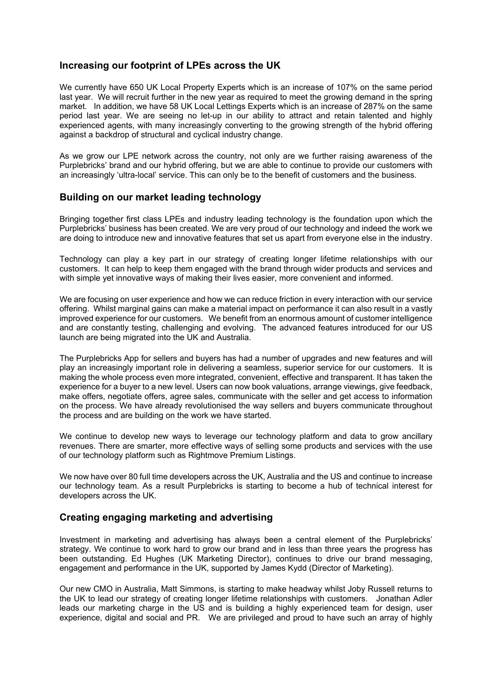### **Increasing our footprint of LPEs across the UK**

We currently have 650 UK Local Property Experts which is an increase of 107% on the same period last year. We will recruit further in the new year as required to meet the growing demand in the spring market. In addition, we have 58 UK Local Lettings Experts which is an increase of 287% on the same period last year. We are seeing no let-up in our ability to attract and retain talented and highly experienced agents, with many increasingly converting to the growing strength of the hybrid offering against a backdrop of structural and cyclical industry change.

As we grow our LPE network across the country, not only are we further raising awareness of the Purplebricks' brand and our hybrid offering, but we are able to continue to provide our customers with an increasingly 'ultra-local' service. This can only be to the benefit of customers and the business.

### **Building on our market leading technology**

Bringing together first class LPEs and industry leading technology is the foundation upon which the Purplebricks' business has been created. We are very proud of our technology and indeed the work we are doing to introduce new and innovative features that set us apart from everyone else in the industry.

Technology can play a key part in our strategy of creating longer lifetime relationships with our customers. It can help to keep them engaged with the brand through wider products and services and with simple yet innovative ways of making their lives easier, more convenient and informed.

We are focusing on user experience and how we can reduce friction in every interaction with our service offering. Whilst marginal gains can make a material impact on performance it can also result in a vastly improved experience for our customers. We benefit from an enormous amount of customer intelligence and are constantly testing, challenging and evolving. The advanced features introduced for our US launch are being migrated into the UK and Australia.

The Purplebricks App for sellers and buyers has had a number of upgrades and new features and will play an increasingly important role in delivering a seamless, superior service for our customers. It is making the whole process even more integrated, convenient, effective and transparent. It has taken the experience for a buyer to a new level. Users can now book valuations, arrange viewings, give feedback, make offers, negotiate offers, agree sales, communicate with the seller and get access to information on the process. We have already revolutionised the way sellers and buyers communicate throughout the process and are building on the work we have started.

We continue to develop new ways to leverage our technology platform and data to grow ancillary revenues. There are smarter, more effective ways of selling some products and services with the use of our technology platform such as Rightmove Premium Listings.

We now have over 80 full time developers across the UK, Australia and the US and continue to increase our technology team. As a result Purplebricks is starting to become a hub of technical interest for developers across the UK.

## **Creating engaging marketing and advertising**

Investment in marketing and advertising has always been a central element of the Purplebricks' strategy. We continue to work hard to grow our brand and in less than three years the progress has been outstanding. Ed Hughes (UK Marketing Director), continues to drive our brand messaging, engagement and performance in the UK, supported by James Kydd (Director of Marketing).

Our new CMO in Australia, Matt Simmons, is starting to make headway whilst Joby Russell returns to the UK to lead our strategy of creating longer lifetime relationships with customers. Jonathan Adler leads our marketing charge in the US and is building a highly experienced team for design, user experience, digital and social and PR. We are privileged and proud to have such an array of highly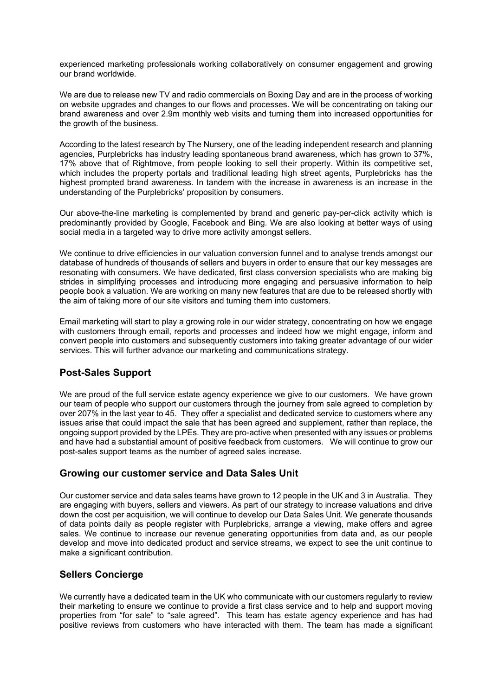experienced marketing professionals working collaboratively on consumer engagement and growing our brand worldwide.

We are due to release new TV and radio commercials on Boxing Day and are in the process of working on website upgrades and changes to our flows and processes. We will be concentrating on taking our brand awareness and over 2.9m monthly web visits and turning them into increased opportunities for the growth of the business.

According to the latest research by The Nursery, one of the leading independent research and planning agencies, Purplebricks has industry leading spontaneous brand awareness, which has grown to 37%, 17% above that of Rightmove, from people looking to sell their property. Within its competitive set, which includes the property portals and traditional leading high street agents, Purplebricks has the highest prompted brand awareness. In tandem with the increase in awareness is an increase in the understanding of the Purplebricks' proposition by consumers.

Our above-the-line marketing is complemented by brand and generic pay-per-click activity which is predominantly provided by Google, Facebook and Bing. We are also looking at better ways of using social media in a targeted way to drive more activity amongst sellers.

We continue to drive efficiencies in our valuation conversion funnel and to analyse trends amongst our database of hundreds of thousands of sellers and buyers in order to ensure that our key messages are resonating with consumers. We have dedicated, first class conversion specialists who are making big strides in simplifying processes and introducing more engaging and persuasive information to help people book a valuation. We are working on many new features that are due to be released shortly with the aim of taking more of our site visitors and turning them into customers.

Email marketing will start to play a growing role in our wider strategy, concentrating on how we engage with customers through email, reports and processes and indeed how we might engage, inform and convert people into customers and subsequently customers into taking greater advantage of our wider services. This will further advance our marketing and communications strategy.

# **Post-Sales Support**

We are proud of the full service estate agency experience we give to our customers. We have grown our team of people who support our customers through the journey from sale agreed to completion by over 207% in the last year to 45. They offer a specialist and dedicated service to customers where any issues arise that could impact the sale that has been agreed and supplement, rather than replace, the ongoing support provided by the LPEs. They are pro-active when presented with any issues or problems and have had a substantial amount of positive feedback from customers. We will continue to grow our post-sales support teams as the number of agreed sales increase.

## **Growing our customer service and Data Sales Unit**

Our customer service and data sales teams have grown to 12 people in the UK and 3 in Australia. They are engaging with buyers, sellers and viewers. As part of our strategy to increase valuations and drive down the cost per acquisition, we will continue to develop our Data Sales Unit. We generate thousands of data points daily as people register with Purplebricks, arrange a viewing, make offers and agree sales. We continue to increase our revenue generating opportunities from data and, as our people develop and move into dedicated product and service streams, we expect to see the unit continue to make a significant contribution.

### **Sellers Concierge**

We currently have a dedicated team in the UK who communicate with our customers regularly to review their marketing to ensure we continue to provide a first class service and to help and support moving properties from "for sale" to "sale agreed". This team has estate agency experience and has had positive reviews from customers who have interacted with them. The team has made a significant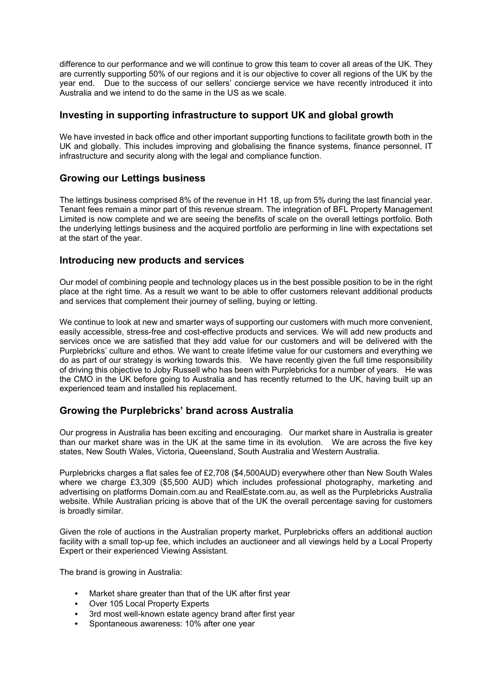difference to our performance and we will continue to grow this team to cover all areas of the UK. They are currently supporting 50% of our regions and it is our objective to cover all regions of the UK by the year end. Due to the success of our sellers' concierge service we have recently introduced it into Australia and we intend to do the same in the US as we scale.

### **Investing in supporting infrastructure to support UK and global growth**

We have invested in back office and other important supporting functions to facilitate growth both in the UK and globally. This includes improving and globalising the finance systems, finance personnel, IT infrastructure and security along with the legal and compliance function.

### **Growing our Lettings business**

The lettings business comprised 8% of the revenue in H1 18, up from 5% during the last financial year. Tenant fees remain a minor part of this revenue stream. The integration of BFL Property Management Limited is now complete and we are seeing the benefits of scale on the overall lettings portfolio. Both the underlying lettings business and the acquired portfolio are performing in line with expectations set at the start of the year.

### **Introducing new products and services**

Our model of combining people and technology places us in the best possible position to be in the right place at the right time. As a result we want to be able to offer customers relevant additional products and services that complement their journey of selling, buying or letting.

We continue to look at new and smarter ways of supporting our customers with much more convenient, easily accessible, stress-free and cost-effective products and services. We will add new products and services once we are satisfied that they add value for our customers and will be delivered with the Purplebricks' culture and ethos. We want to create lifetime value for our customers and everything we do as part of our strategy is working towards this. We have recently given the full time responsibility of driving this objective to Joby Russell who has been with Purplebricks for a number of years. He was the CMO in the UK before going to Australia and has recently returned to the UK, having built up an experienced team and installed his replacement.

## **Growing the Purplebricks' brand across Australia**

Our progress in Australia has been exciting and encouraging. Our market share in Australia is greater than our market share was in the UK at the same time in its evolution. We are across the five key states, New South Wales, Victoria, Queensland, South Australia and Western Australia.

Purplebricks charges a flat sales fee of £2,708 (\$4,500AUD) everywhere other than New South Wales where we charge £3,309 (\$5,500 AUD) which includes professional photography, marketing and advertising on platforms Domain.com.au and RealEstate.com.au, as well as the Purplebricks Australia website. While Australian pricing is above that of the UK the overall percentage saving for customers is broadly similar.

Given the role of auctions in the Australian property market, Purplebricks offers an additional auction facility with a small top-up fee, which includes an auctioneer and all viewings held by a Local Property Expert or their experienced Viewing Assistant.

The brand is growing in Australia:

- Market share greater than that of the UK after first year
- Over 105 Local Property Experts
- 3rd most well-known estate agency brand after first year
- Spontaneous awareness: 10% after one year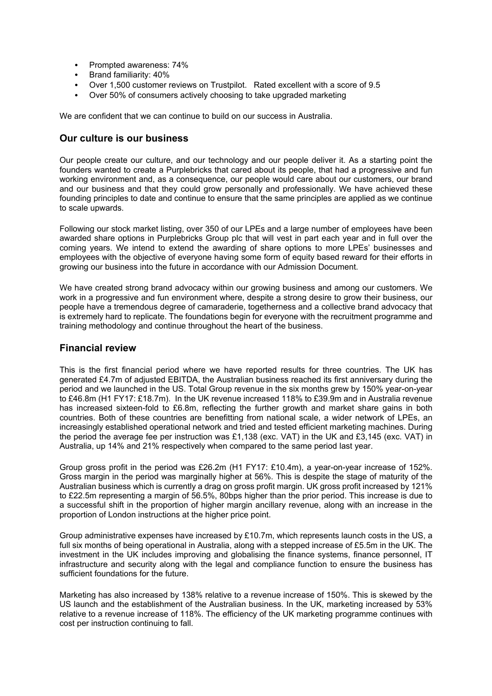- Prompted awareness: 74%
- Brand familiarity: 40%
- Over 1,500 customer reviews on Trustpilot. Rated excellent with a score of 9.5
- Over 50% of consumers actively choosing to take upgraded marketing

We are confident that we can continue to build on our success in Australia.

### **Our culture is our business**

Our people create our culture, and our technology and our people deliver it. As a starting point the founders wanted to create a Purplebricks that cared about its people, that had a progressive and fun working environment and, as a consequence, our people would care about our customers, our brand and our business and that they could grow personally and professionally. We have achieved these founding principles to date and continue to ensure that the same principles are applied as we continue to scale upwards.

Following our stock market listing, over 350 of our LPEs and a large number of employees have been awarded share options in Purplebricks Group plc that will vest in part each year and in full over the coming years. We intend to extend the awarding of share options to more LPEs' businesses and employees with the objective of everyone having some form of equity based reward for their efforts in growing our business into the future in accordance with our Admission Document.

We have created strong brand advocacy within our growing business and among our customers. We work in a progressive and fun environment where, despite a strong desire to grow their business, our people have a tremendous degree of camaraderie, togetherness and a collective brand advocacy that is extremely hard to replicate. The foundations begin for everyone with the recruitment programme and training methodology and continue throughout the heart of the business.

#### **Financial review**

This is the first financial period where we have reported results for three countries. The UK has generated £4.7m of adjusted EBITDA, the Australian business reached its first anniversary during the period and we launched in the US. Total Group revenue in the six months grew by 150% year-on-year to £46.8m (H1 FY17: £18.7m). In the UK revenue increased 118% to £39.9m and in Australia revenue has increased sixteen-fold to £6.8m, reflecting the further growth and market share gains in both countries. Both of these countries are benefitting from national scale, a wider network of LPEs, an increasingly established operational network and tried and tested efficient marketing machines. During the period the average fee per instruction was £1,138 (exc. VAT) in the UK and £3,145 (exc. VAT) in Australia, up 14% and 21% respectively when compared to the same period last year.

Group gross profit in the period was £26.2m (H1 FY17: £10.4m), a year-on-year increase of 152%. Gross margin in the period was marginally higher at 56%. This is despite the stage of maturity of the Australian business which is currently a drag on gross profit margin. UK gross profit increased by 121% to £22.5m representing a margin of 56.5%, 80bps higher than the prior period. This increase is due to a successful shift in the proportion of higher margin ancillary revenue, along with an increase in the proportion of London instructions at the higher price point.

Group administrative expenses have increased by £10.7m, which represents launch costs in the US, a full six months of being operational in Australia, along with a stepped increase of £5.5m in the UK. The investment in the UK includes improving and globalising the finance systems, finance personnel, IT infrastructure and security along with the legal and compliance function to ensure the business has sufficient foundations for the future.

Marketing has also increased by 138% relative to a revenue increase of 150%. This is skewed by the US launch and the establishment of the Australian business. In the UK, marketing increased by 53% relative to a revenue increase of 118%. The efficiency of the UK marketing programme continues with cost per instruction continuing to fall.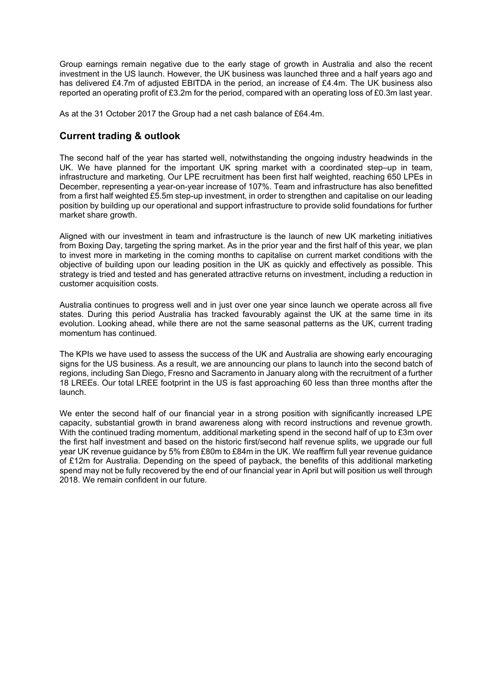Group earnings remain negative due to the early stage of growth in Australia and also the recent investment in the US launch. However, the UK business was launched three and a half years ago and has delivered £4.7m of adjusted EBITDA in the period, an increase of £4.4m. The UK business also reported an operating profit of £3.2m for the period, compared with an operating loss of £0.3m last year.

As at the 31 October 2017 the Group had a net cash balance of £64.4m.

### **Current trading & outlook**

The second half of the year has started well, notwithstanding the ongoing industry headwinds in the UK. We have planned for the important UK spring market with a coordinated step–up in team, infrastructure and marketing. Our LPE recruitment has been first half weighted, reaching 650 LPEs in December, representing a year-on-year increase of 107%. Team and infrastructure has also benefitted from a first half weighted £5.5m step-up investment, in order to strengthen and capitalise on our leading position by building up our operational and support infrastructure to provide solid foundations for further market share growth.

Aligned with our investment in team and infrastructure is the launch of new UK marketing initiatives from Boxing Day, targeting the spring market. As in the prior year and the first half of this year, we plan to invest more in marketing in the coming months to capitalise on current market conditions with the objective of building upon our leading position in the UK as quickly and effectively as possible. This strategy is tried and tested and has generated attractive returns on investment, including a reduction in customer acquisition costs.

Australia continues to progress well and in just over one year since launch we operate across all five states. During this period Australia has tracked favourably against the UK at the same time in its evolution. Looking ahead, while there are not the same seasonal patterns as the UK, current trading momentum has continued.

The KPIs we have used to assess the success of the UK and Australia are showing early encouraging signs for the US business. As a result, we are announcing our plans to launch into the second batch of regions, including San Diego, Fresno and Sacramento in January along with the recruitment of a further 18 LREEs. Our total LREE footprint in the US is fast approaching 60 less than three months after the launch.

We enter the second half of our financial year in a strong position with significantly increased LPE capacity, substantial growth in brand awareness along with record instructions and revenue growth. With the continued trading momentum, additional marketing spend in the second half of up to £3m over the first half investment and based on the historic first/second half revenue splits, we upgrade our full year UK revenue guidance by 5% from £80m to £84m in the UK. We reaffirm full year revenue guidance of £12m for Australia. Depending on the speed of payback, the benefits of this additional marketing spend may not be fully recovered by the end of our financial year in April but will position us well through 2018. We remain confident in our future.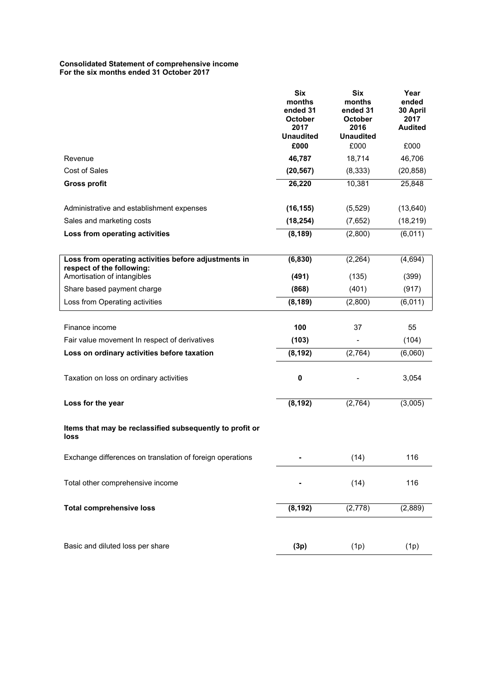#### **Consolidated Statement of comprehensive income For the six months ended 31 October 2017**

|                                                                  | <b>Six</b><br>months<br>ended 31<br><b>October</b><br>2017<br><b>Unaudited</b><br>£000 | <b>Six</b><br>months<br>ended 31<br><b>October</b><br>2016<br><b>Unaudited</b><br>£000 | Year<br>ended<br>30 April<br>2017<br><b>Audited</b><br>£000 |
|------------------------------------------------------------------|----------------------------------------------------------------------------------------|----------------------------------------------------------------------------------------|-------------------------------------------------------------|
| Revenue                                                          | 46,787                                                                                 | 18,714                                                                                 | 46,706                                                      |
| Cost of Sales                                                    | (20, 567)                                                                              | (8, 333)                                                                               | (20, 858)                                                   |
| <b>Gross profit</b>                                              | 26,220                                                                                 | 10,381                                                                                 | 25,848                                                      |
|                                                                  |                                                                                        |                                                                                        |                                                             |
| Administrative and establishment expenses                        | (16, 155)                                                                              | (5, 529)                                                                               | (13, 640)                                                   |
| Sales and marketing costs                                        | (18, 254)                                                                              | (7,652)                                                                                | (18, 219)                                                   |
| Loss from operating activities                                   | (8, 189)                                                                               | (2,800)                                                                                | (6,011)                                                     |
| Loss from operating activities before adjustments in             | (6, 830)                                                                               | (2, 264)                                                                               | (4, 694)                                                    |
| respect of the following:                                        |                                                                                        |                                                                                        |                                                             |
| Amortisation of intangibles                                      | (491)                                                                                  | (135)                                                                                  | (399)                                                       |
| Share based payment charge                                       | (868)                                                                                  | (401)                                                                                  | (917)                                                       |
| Loss from Operating activities                                   | (8, 189)                                                                               | (2,800)                                                                                | (6,011)                                                     |
|                                                                  |                                                                                        |                                                                                        |                                                             |
| Finance income                                                   | 100                                                                                    | 37                                                                                     | 55                                                          |
| Fair value movement In respect of derivatives                    | (103)                                                                                  |                                                                                        | (104)                                                       |
| Loss on ordinary activities before taxation                      | (8, 192)                                                                               | (2,764)                                                                                | (6,060)                                                     |
| Taxation on loss on ordinary activities                          | $\pmb{0}$                                                                              |                                                                                        | 3,054                                                       |
| Loss for the year                                                | (8, 192)                                                                               | (2,764)                                                                                | (3,005)                                                     |
| Items that may be reclassified subsequently to profit or<br>loss |                                                                                        |                                                                                        |                                                             |
| Exchange differences on translation of foreign operations        |                                                                                        | (14)                                                                                   | 116                                                         |
| Total other comprehensive income                                 |                                                                                        | (14)                                                                                   | 116                                                         |
| <b>Total comprehensive loss</b>                                  | (8, 192)                                                                               | (2,778)                                                                                | (2,889)                                                     |
|                                                                  |                                                                                        |                                                                                        |                                                             |
| Basic and diluted loss per share                                 | (3p)                                                                                   | (1p)                                                                                   | (1p)                                                        |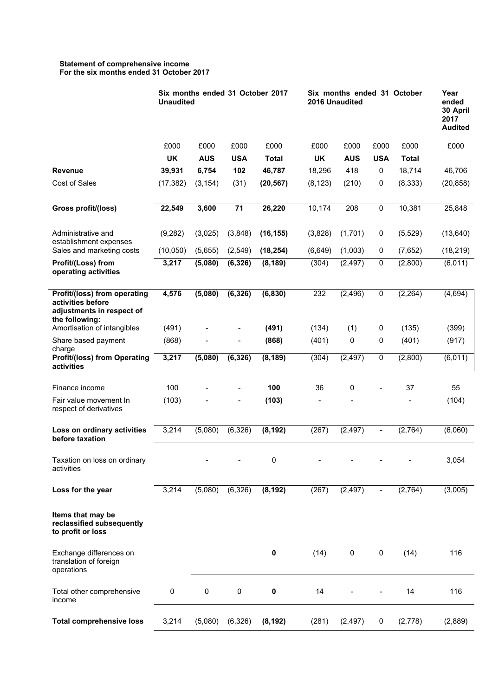#### **Statement of comprehensive income For the six months ended 31 October 2017**

|                                                                                                  | Six months ended 31 October 2017<br><b>Unaudited</b> |            |                          |              | Six months ended 31 October<br>2016 Unaudited |            |                              |              |           |
|--------------------------------------------------------------------------------------------------|------------------------------------------------------|------------|--------------------------|--------------|-----------------------------------------------|------------|------------------------------|--------------|-----------|
|                                                                                                  | £000                                                 | £000       | £000                     | £000         | £000                                          | £000       | £000                         | £000         | £000      |
|                                                                                                  | <b>UK</b>                                            | <b>AUS</b> | <b>USA</b>               | <b>Total</b> | <b>UK</b>                                     | <b>AUS</b> | <b>USA</b>                   | <b>Total</b> |           |
| <b>Revenue</b>                                                                                   | 39,931                                               | 6,754      | 102                      | 46,787       | 18,296                                        | 418        | 0                            | 18,714       | 46,706    |
| Cost of Sales                                                                                    | (17, 382)                                            | (3, 154)   | (31)                     | (20, 567)    | (8, 123)                                      | (210)      | 0                            | (8, 333)     | (20, 858) |
| Gross profit/(loss)                                                                              | 22,549                                               | 3,600      | 71                       | 26,220       | 10,174                                        | 208        | 0                            | 10,381       | 25,848    |
| Administrative and<br>establishment expenses                                                     | (9, 282)                                             | (3,025)    | (3,848)                  | (16, 155)    | (3,828)                                       | (1,701)    | 0                            | (5, 529)     | (13, 640) |
| Sales and marketing costs                                                                        | (10,050)                                             | (5,655)    | (2,549)                  | (18, 254)    | (6, 649)                                      | (1,003)    | 0                            | (7,652)      | (18, 219) |
| Profit/(Loss) from<br>operating activities                                                       | 3,217                                                | (5,080)    | (6, 326)                 | (8, 189)     | (304)                                         | (2, 497)   | 0                            | (2,800)      | (6,011)   |
| Profit/(loss) from operating<br>activities before<br>adjustments in respect of<br>the following: | 4,576                                                | (5,080)    | (6, 326)                 | (6, 830)     | 232                                           | (2, 496)   | 0                            | (2, 264)     | (4,694)   |
| Amortisation of intangibles                                                                      | (491)                                                |            |                          | (491)        | (134)                                         | (1)        | 0                            | (135)        | (399)     |
| Share based payment<br>charge                                                                    | (868)                                                |            |                          | (868)        | (401)                                         | 0          | 0                            | (401)        | (917)     |
| <b>Profit/(loss) from Operating</b><br>activities                                                | 3,217                                                | (5,080)    | (6, 326)                 | (8, 189)     | (304)                                         | (2, 497)   | $\overline{0}$               | (2,800)      | (6,011)   |
| Finance income                                                                                   | 100                                                  |            | $\overline{\phantom{0}}$ | 100          | 36                                            | 0          |                              | 37           | 55        |
| Fair value movement In<br>respect of derivatives                                                 | (103)                                                |            |                          | (103)        |                                               |            |                              |              | (104)     |
| Loss on ordinary activities<br>before taxation                                                   | 3,214                                                | (5,080)    | (6, 326)                 | (8, 192)     | (267)                                         | (2, 497)   | $\qquad \qquad \blacksquare$ | (2,764)      | (6,060)   |
| Taxation on loss on ordinary<br>activities                                                       |                                                      |            |                          | 0            |                                               |            |                              |              | 3,054     |
| Loss for the year                                                                                | 3,214                                                | (5,080)    | (6, 326)                 | (8, 192)     | (267)                                         | (2, 497)   | $\blacksquare$               | (2,764)      | (3,005)   |
| Items that may be<br>reclassified subsequently<br>to profit or loss                              |                                                      |            |                          |              |                                               |            |                              |              |           |
| Exchange differences on<br>translation of foreign<br>operations                                  |                                                      |            |                          | 0            | (14)                                          | 0          | 0                            | (14)         | 116       |
| Total other comprehensive<br>income                                                              | 0                                                    | $\pmb{0}$  | $\pmb{0}$                | 0            | 14                                            |            |                              | 14           | 116       |
| <b>Total comprehensive loss</b>                                                                  | 3,214                                                | (5,080)    | (6, 326)                 | (8, 192)     | (281)                                         | (2, 497)   | 0                            | (2,778)      | (2,889)   |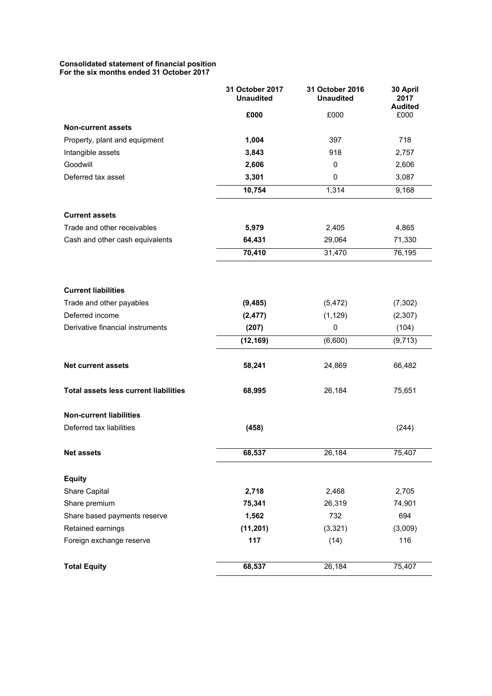#### **Consolidated statement of financial position For the six months ended 31 October 2017**

|                                              | 31 October 2017<br><b>Unaudited</b> | 31 October 2016<br><b>Unaudited</b> | 30 April<br>2017<br><b>Audited</b> |
|----------------------------------------------|-------------------------------------|-------------------------------------|------------------------------------|
|                                              | £000                                | £000                                | £000                               |
| <b>Non-current assets</b>                    |                                     |                                     |                                    |
| Property, plant and equipment                | 1,004                               | 397                                 | 718                                |
| Intangible assets                            | 3,843                               | 918                                 | 2,757                              |
| Goodwill                                     | 2,606                               | 0                                   | 2,606                              |
| Deferred tax asset                           | 3,301                               | 0                                   | 3,087                              |
|                                              | 10,754                              | 1,314                               | 9,168                              |
| <b>Current assets</b>                        |                                     |                                     |                                    |
| Trade and other receivables                  | 5,979                               | 2,405                               | 4,865                              |
| Cash and other cash equivalents              | 64,431                              | 29,064                              | 71,330                             |
|                                              | 70,410                              | 31,470                              | 76,195                             |
| <b>Current liabilities</b>                   |                                     |                                     |                                    |
| Trade and other payables                     | (9, 485)                            | (5, 472)                            | (7, 302)                           |
| Deferred income                              | (2, 477)                            | (1, 129)                            | (2,307)                            |
| Derivative financial instruments             | (207)                               | 0                                   | (104)                              |
|                                              | (12, 169)                           | (6,600)                             | (9,713)                            |
| <b>Net current assets</b>                    | 58,241                              | 24,869                              | 66,482                             |
| <b>Total assets less current liabilities</b> | 68,995                              | 26,184                              | 75,651                             |
| <b>Non-current liabilities</b>               |                                     |                                     |                                    |
| Deferred tax liabilities                     | (458)                               |                                     | (244)                              |
| <b>Net assets</b>                            | 68,537                              | 26,184                              | 75,407                             |
| <b>Equity</b>                                |                                     |                                     |                                    |
| Share Capital                                | 2,718                               | 2,468                               | 2,705                              |
| Share premium                                | 75,341                              | 26,319                              | 74,901                             |
| Share based payments reserve                 | 1,562                               | 732                                 | 694                                |
| Retained earnings                            | (11, 201)                           | (3,321)                             | (3,009)                            |
| Foreign exchange reserve                     | 117                                 | (14)                                | 116                                |
| <b>Total Equity</b>                          | 68,537                              | 26,184                              | 75,407                             |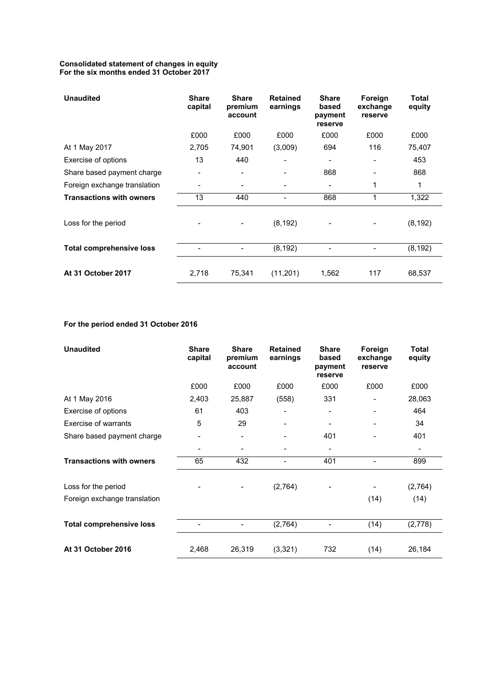#### **Consolidated statement of changes in equity For the six months ended 31 October 2017**

| <b>Unaudited</b>                | <b>Share</b><br>capital | <b>Share</b><br>premium<br>account | <b>Retained</b><br>earnings | <b>Share</b><br>based<br>payment<br>reserve | Foreign<br>exchange<br>reserve | Total<br>equity |
|---------------------------------|-------------------------|------------------------------------|-----------------------------|---------------------------------------------|--------------------------------|-----------------|
|                                 | £000                    | £000                               | £000                        | £000                                        | £000                           | £000            |
| At 1 May 2017                   | 2,705                   | 74,901                             | (3,009)                     | 694                                         | 116                            | 75,407          |
| Exercise of options             | 13                      | 440                                |                             |                                             | $\blacksquare$                 | 453             |
| Share based payment charge      |                         |                                    |                             | 868                                         | $\blacksquare$                 | 868             |
| Foreign exchange translation    |                         |                                    |                             |                                             | 1                              | 1               |
| <b>Transactions with owners</b> | 13                      | 440                                |                             | 868                                         | 1                              | 1,322           |
| Loss for the period             |                         |                                    | (8, 192)                    |                                             |                                | (8, 192)        |
| <b>Total comprehensive loss</b> |                         |                                    | (8, 192)                    |                                             | -                              | (8, 192)        |
| At 31 October 2017              | 2,718                   | 75,341                             | (11,201)                    | 1,562                                       | 117                            | 68,537          |

# **For the period ended 31 October 2016**

| <b>Unaudited</b>                | <b>Share</b><br>capital | <b>Share</b><br>premium<br>account | <b>Retained</b><br>earnings | <b>Share</b><br>based<br>payment<br>reserve | Foreign<br>exchange<br>reserve | <b>Total</b><br>equity   |
|---------------------------------|-------------------------|------------------------------------|-----------------------------|---------------------------------------------|--------------------------------|--------------------------|
|                                 | £000                    | £000                               | £000                        | £000                                        | £000                           | £000                     |
| At 1 May 2016                   | 2,403                   | 25,887                             | (558)                       | 331                                         |                                | 28,063                   |
| Exercise of options             | 61                      | 403                                |                             |                                             |                                | 464                      |
| Exercise of warrants            | 5                       | 29                                 |                             | -                                           |                                | 34                       |
| Share based payment charge      | -                       | $\overline{\phantom{0}}$           |                             | 401                                         |                                | 401                      |
|                                 |                         | -                                  |                             | -                                           |                                | $\overline{\phantom{0}}$ |
| <b>Transactions with owners</b> | 65                      | 432                                |                             | 401                                         |                                | 899                      |
| Loss for the period             |                         |                                    | (2,764)                     |                                             |                                | (2,764)                  |
| Foreign exchange translation    |                         |                                    |                             |                                             | (14)                           | (14)                     |
| <b>Total comprehensive loss</b> | -                       | -                                  | (2,764)                     | $\overline{\phantom{0}}$                    | (14)                           | (2,778)                  |
| At 31 October 2016              | 2,468                   | 26,319                             | (3,321)                     | 732                                         | (14)                           | 26,184                   |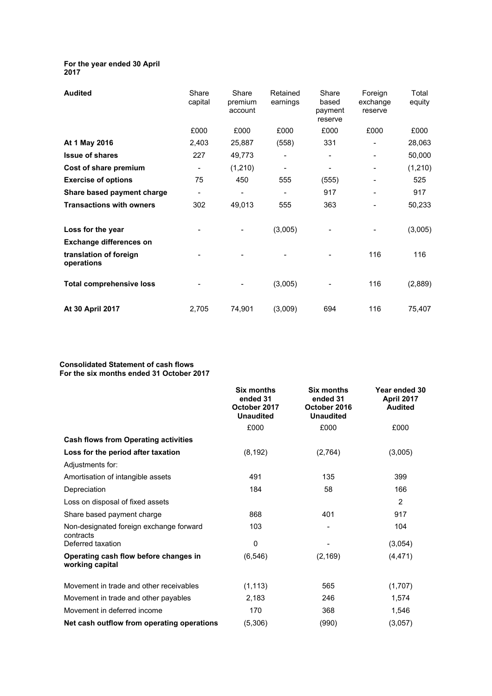#### **For the year ended 30 April 2017**

| <b>Audited</b>                       | Share<br>capital         | Share<br>premium<br>account | Retained<br>earnings | Share<br>based<br>payment<br>reserve | Foreign<br>exchange<br>reserve | Total<br>equity |
|--------------------------------------|--------------------------|-----------------------------|----------------------|--------------------------------------|--------------------------------|-----------------|
|                                      | £000                     | £000                        | £000                 | £000                                 | £000                           | £000            |
| At 1 May 2016                        | 2,403                    | 25,887                      | (558)                | 331                                  |                                | 28,063          |
| <b>Issue of shares</b>               | 227                      | 49,773                      |                      |                                      |                                | 50,000          |
| Cost of share premium                | $\overline{\phantom{a}}$ | (1, 210)                    |                      |                                      |                                | (1,210)         |
| <b>Exercise of options</b>           | 75                       | 450                         | 555                  | (555)                                |                                | 525             |
| Share based payment charge           | $\overline{\phantom{a}}$ | -                           | -                    | 917                                  |                                | 917             |
| <b>Transactions with owners</b>      | 302                      | 49,013                      | 555                  | 363                                  |                                | 50,233          |
| Loss for the year                    |                          |                             | (3,005)              |                                      |                                | (3,005)         |
| <b>Exchange differences on</b>       |                          |                             |                      |                                      |                                |                 |
| translation of foreign<br>operations |                          |                             |                      |                                      | 116                            | 116             |
| <b>Total comprehensive loss</b>      |                          |                             | (3,005)              |                                      | 116                            | (2,889)         |
| At 30 April 2017                     | 2,705                    | 74,901                      | (3,009)              | 694                                  | 116                            | 75,407          |

#### **Consolidated Statement of cash flows For the six months ended 31 October 2017**

|                                                          | <b>Six months</b><br>ended 31<br>October 2017<br><b>Unaudited</b> | <b>Six months</b><br>ended 31<br>October 2016<br><b>Unaudited</b> | Year ended 30<br>April 2017<br><b>Audited</b> |
|----------------------------------------------------------|-------------------------------------------------------------------|-------------------------------------------------------------------|-----------------------------------------------|
|                                                          | £000                                                              | £000                                                              | £000                                          |
| <b>Cash flows from Operating activities</b>              |                                                                   |                                                                   |                                               |
| Loss for the period after taxation                       | (8, 192)                                                          | (2,764)                                                           | (3,005)                                       |
| Adjustments for:                                         |                                                                   |                                                                   |                                               |
| Amortisation of intangible assets                        | 491                                                               | 135                                                               | 399                                           |
| Depreciation                                             | 184                                                               | 58                                                                | 166                                           |
| Loss on disposal of fixed assets                         |                                                                   |                                                                   | 2                                             |
| Share based payment charge                               | 868                                                               | 401                                                               | 917                                           |
| Non-designated foreign exchange forward<br>contracts     | 103                                                               |                                                                   | 104                                           |
| Deferred taxation                                        | $\mathbf{0}$                                                      |                                                                   | (3,054)                                       |
| Operating cash flow before changes in<br>working capital | (6, 546)                                                          | (2, 169)                                                          | (4, 471)                                      |
| Movement in trade and other receivables                  | (1, 113)                                                          | 565                                                               | (1,707)                                       |
| Movement in trade and other payables                     | 2.183                                                             | 246                                                               | 1,574                                         |
| Movement in deferred income                              | 170                                                               | 368                                                               | 1,546                                         |
| Net cash outflow from operating operations               | (5,306)                                                           | (990)                                                             | (3,057)                                       |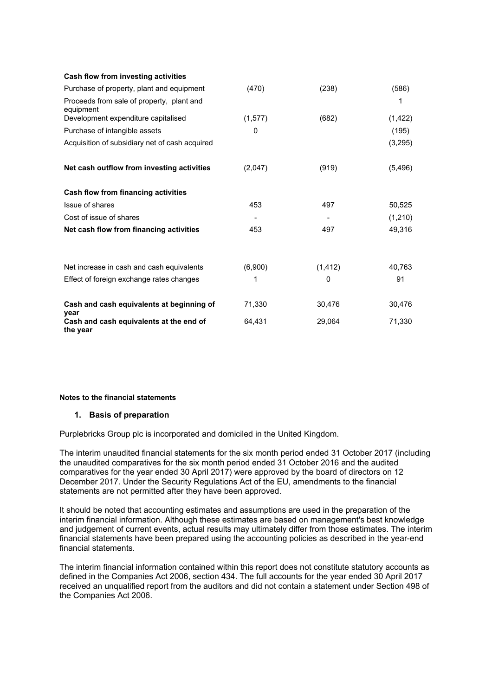| Cash flow from investing activities                    |          |          |          |
|--------------------------------------------------------|----------|----------|----------|
| Purchase of property, plant and equipment              | (470)    | (238)    | (586)    |
| Proceeds from sale of property, plant and<br>equipment |          |          | 1        |
| Development expenditure capitalised                    | (1, 577) | (682)    | (1, 422) |
| Purchase of intangible assets                          | 0        |          | (195)    |
| Acquisition of subsidiary net of cash acquired         |          |          | (3,295)  |
| Net cash outflow from investing activities             | (2,047)  | (919)    | (5, 496) |
| <b>Cash flow from financing activities</b>             |          |          |          |
| Issue of shares                                        | 453      | 497      | 50,525   |
| Cost of issue of shares                                |          |          | (1, 210) |
| Net cash flow from financing activities                | 453      | 497      | 49,316   |
| Net increase in cash and cash equivalents              | (6,900)  | (1, 412) | 40,763   |
| Effect of foreign exchange rates changes               | 1        | 0        | 91       |
| Cash and cash equivalents at beginning of<br>year      | 71,330   | 30,476   | 30,476   |
| Cash and cash equivalents at the end of<br>the year    | 64,431   | 29,064   | 71,330   |

#### **Notes to the financial statements**

#### **1. Basis of preparation**

Purplebricks Group plc is incorporated and domiciled in the United Kingdom.

The interim unaudited financial statements for the six month period ended 31 October 2017 (including the unaudited comparatives for the six month period ended 31 October 2016 and the audited comparatives for the year ended 30 April 2017) were approved by the board of directors on 12 December 2017. Under the Security Regulations Act of the EU, amendments to the financial statements are not permitted after they have been approved.

It should be noted that accounting estimates and assumptions are used in the preparation of the interim financial information. Although these estimates are based on management's best knowledge and judgement of current events, actual results may ultimately differ from those estimates. The interim financial statements have been prepared using the accounting policies as described in the year-end financial statements.

The interim financial information contained within this report does not constitute statutory accounts as defined in the Companies Act 2006, section 434. The full accounts for the year ended 30 April 2017 received an unqualified report from the auditors and did not contain a statement under Section 498 of the Companies Act 2006.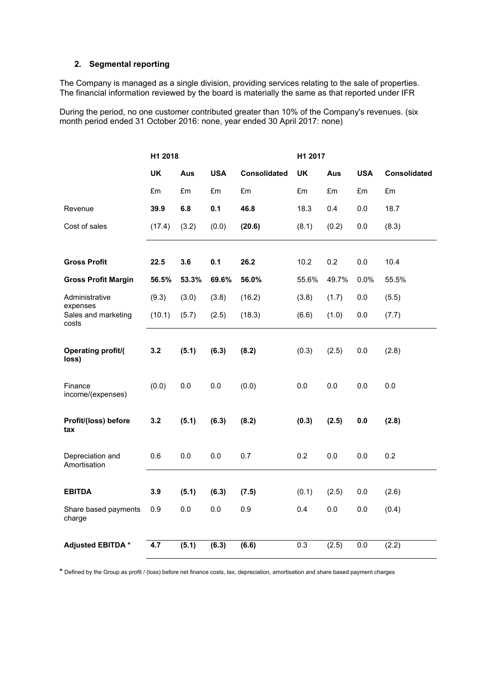#### **2. Segmental reporting**

The Company is managed as a single division, providing services relating to the sale of properties. The financial information reviewed by the board is materially the same as that reported under IFR

During the period, no one customer contributed greater than 10% of the Company's revenues. (six month period ended 31 October 2016: none, year ended 30 April 2017: none)

|                                    | H1 2018   |       |            |                     | H1 2017          |       |            |                     |
|------------------------------------|-----------|-------|------------|---------------------|------------------|-------|------------|---------------------|
|                                    | <b>UK</b> | Aus   | <b>USA</b> | <b>Consolidated</b> | <b>UK</b>        | Aus   | <b>USA</b> | <b>Consolidated</b> |
|                                    | £m        | £m    | £m         | £m                  | £m               | £m    | £m         | £m                  |
| Revenue                            | 39.9      | 6.8   | 0.1        | 46.8                | 18.3             | 0.4   | 0.0        | 18.7                |
| Cost of sales                      | (17.4)    | (3.2) | (0.0)      | (20.6)              | (8.1)            | (0.2) | 0.0        | (8.3)               |
|                                    |           |       |            |                     |                  |       |            |                     |
| <b>Gross Profit</b>                | 22.5      | 3.6   | 0.1        | 26.2                | 10.2             | 0.2   | 0.0        | 10.4                |
| <b>Gross Profit Margin</b>         | 56.5%     | 53.3% | 69.6%      | 56.0%               | 55.6%            | 49.7% | 0.0%       | 55.5%               |
| Administrative<br>expenses         | (9.3)     | (3.0) | (3.8)      | (16.2)              | (3.8)            | (1.7) | 0.0        | (5.5)               |
| Sales and marketing<br>costs       | (10.1)    | (5.7) | (2.5)      | (18.3)              | (6.6)            | (1.0) | 0.0        | (7.7)               |
| <b>Operating profit/(</b><br>loss) | 3.2       | (5.1) | (6.3)      | (8.2)               | (0.3)            | (2.5) | 0.0        | (2.8)               |
| Finance<br>income/(expenses)       | (0.0)     | 0.0   | 0.0        | (0.0)               | 0.0              | 0.0   | 0.0        | 0.0                 |
| Profit/(loss) before<br>tax        | 3.2       | (5.1) | (6.3)      | (8.2)               | (0.3)            | (2.5) | 0.0        | (2.8)               |
| Depreciation and<br>Amortisation   | 0.6       | 0.0   | 0.0        | 0.7                 | 0.2              | 0.0   | 0.0        | 0.2                 |
|                                    |           |       |            |                     |                  |       |            |                     |
| <b>EBITDA</b>                      | 3.9       | (5.1) | (6.3)      | (7.5)               | (0.1)            | (2.5) | 0.0        | (2.6)               |
| Share based payments<br>charge     | 0.9       | 0.0   | 0.0        | 0.9                 | 0.4              | 0.0   | 0.0        | (0.4)               |
| <b>Adjusted EBITDA*</b>            | 4.7       | (5.1) | (6.3)      | (6.6)               | $\overline{0.3}$ | (2.5) | 0.0        | (2.2)               |

**\*** Defined by the Group as profit / (loss) before net finance costs, tax, depreciation, amortisation and share based payment charges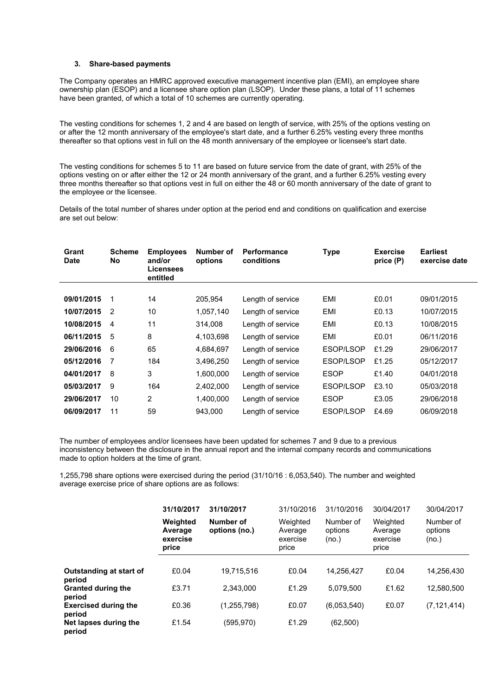#### **3. Share-based payments**

The Company operates an HMRC approved executive management incentive plan (EMI), an employee share ownership plan (ESOP) and a licensee share option plan (LSOP). Under these plans, a total of 11 schemes have been granted, of which a total of 10 schemes are currently operating.

The vesting conditions for schemes 1, 2 and 4 are based on length of service, with 25% of the options vesting on or after the 12 month anniversary of the employee's start date, and a further 6.25% vesting every three months thereafter so that options vest in full on the 48 month anniversary of the employee or licensee's start date.

The vesting conditions for schemes 5 to 11 are based on future service from the date of grant, with 25% of the options vesting on or after either the 12 or 24 month anniversary of the grant, and a further 6.25% vesting every three months thereafter so that options vest in full on either the 48 or 60 month anniversary of the date of grant to the employee or the licensee.

Details of the total number of shares under option at the period end and conditions on qualification and exercise are set out below:

| Grant<br><b>Date</b> | <b>Scheme</b><br>No | <b>Employees</b><br>and/or<br><b>Licensees</b><br>entitled | Number of<br>options | <b>Performance</b><br>conditions | <b>Type</b> | <b>Exercise</b><br>price (P) | <b>Earliest</b><br>exercise date |
|----------------------|---------------------|------------------------------------------------------------|----------------------|----------------------------------|-------------|------------------------------|----------------------------------|
|                      |                     |                                                            |                      |                                  |             |                              |                                  |
| 09/01/2015           | 1                   | 14                                                         | 205,954              | Length of service                | EMI         | £0.01                        | 09/01/2015                       |
| 10/07/2015           | $\mathcal{P}$       | 10                                                         | 1,057,140            | Length of service                | EMI         | £0.13                        | 10/07/2015                       |
| 10/08/2015           | 4                   | 11                                                         | 314,008              | Length of service                | EMI         | £0.13                        | 10/08/2015                       |
| 06/11/2015           | 5                   | 8                                                          | 4,103,698            | Length of service                | EMI         | £0.01                        | 06/11/2016                       |
| 29/06/2016           | 6                   | 65                                                         | 4,684,697            | Length of service                | ESOP/LSOP   | £1.29                        | 29/06/2017                       |
| 05/12/2016           | 7                   | 184                                                        | 3,496,250            | Length of service                | ESOP/LSOP   | £1.25                        | 05/12/2017                       |
| 04/01/2017           | 8                   | 3                                                          | 1,600,000            | Length of service                | <b>ESOP</b> | £1.40                        | 04/01/2018                       |
| 05/03/2017           | 9                   | 164                                                        | 2,402,000            | Length of service                | ESOP/LSOP   | £3.10                        | 05/03/2018                       |
| 29/06/2017           | 10                  | $\overline{2}$                                             | 1.400.000            | Length of service                | <b>ESOP</b> | £3.05                        | 29/06/2018                       |
| 06/09/2017           | 11                  | 59                                                         | 943,000              | Length of service                | ESOP/LSOP   | £4.69                        | 06/09/2018                       |

The number of employees and/or licensees have been updated for schemes 7 and 9 due to a previous inconsistency between the disclosure in the annual report and the internal company records and communications made to option holders at the time of grant.

1,255,798 share options were exercised during the period (31/10/16 : 6,053,540). The number and weighted average exercise price of share options are as follows:

|                                       | 31/10/2017<br>Weighted<br>Average<br>exercise<br>price | 31/10/2017<br>Number of<br>options (no.) | 31/10/2016<br>Weighted<br>Average<br>exercise<br>price | 31/10/2016<br>Number of<br>options<br>(no.) | 30/04/2017<br>Weighted<br>Average<br>exercise<br>price | 30/04/2017<br>Number of<br>options<br>(no.) |
|---------------------------------------|--------------------------------------------------------|------------------------------------------|--------------------------------------------------------|---------------------------------------------|--------------------------------------------------------|---------------------------------------------|
| Outstanding at start of<br>period     | £0.04                                                  | 19.715.516                               | £0.04                                                  | 14.256.427                                  | £0.04                                                  | 14.256.430                                  |
| <b>Granted during the</b><br>period   | £3.71                                                  | 2.343.000                                | £1.29                                                  | 5.079.500                                   | £1.62                                                  | 12,580,500                                  |
| <b>Exercised during the</b><br>period | £0.36                                                  | (1,255,798)                              | £0.07                                                  | (6,053,540)                                 | £0.07                                                  | (7, 121, 414)                               |
| Net lapses during the<br>period       | £1.54                                                  | (595, 970)                               | £1.29                                                  | (62, 500)                                   |                                                        |                                             |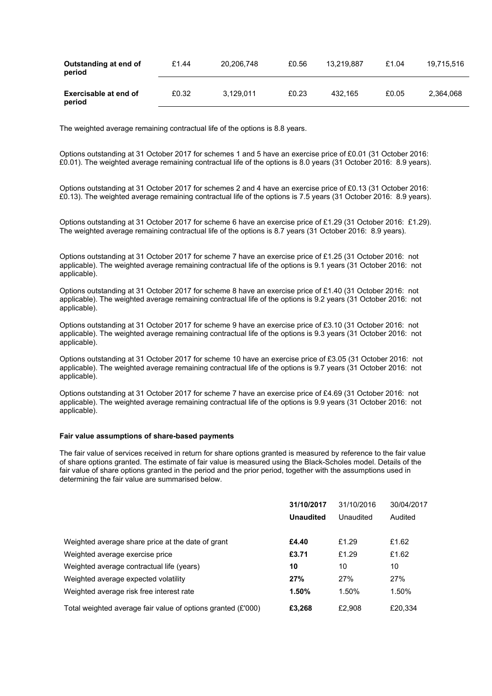| Outstanding at end of<br>period | £1.44 | 20.206.748 | £0.56 | 13.219.887 | £1.04 | 19.715.516 |
|---------------------------------|-------|------------|-------|------------|-------|------------|
| Exercisable at end of<br>period | £0.32 | 3.129.011  | £0.23 | 432.165    | £0.05 | 2.364.068  |

The weighted average remaining contractual life of the options is 8.8 years.

Options outstanding at 31 October 2017 for schemes 1 and 5 have an exercise price of £0.01 (31 October 2016: £0.01). The weighted average remaining contractual life of the options is 8.0 years (31 October 2016: 8.9 years).

Options outstanding at 31 October 2017 for schemes 2 and 4 have an exercise price of £0.13 (31 October 2016: £0.13). The weighted average remaining contractual life of the options is 7.5 years (31 October 2016: 8.9 years).

Options outstanding at 31 October 2017 for scheme 6 have an exercise price of £1.29 (31 October 2016: £1.29). The weighted average remaining contractual life of the options is 8.7 years (31 October 2016: 8.9 years).

Options outstanding at 31 October 2017 for scheme 7 have an exercise price of £1.25 (31 October 2016: not applicable). The weighted average remaining contractual life of the options is 9.1 years (31 October 2016: not applicable).

Options outstanding at 31 October 2017 for scheme 8 have an exercise price of £1.40 (31 October 2016: not applicable). The weighted average remaining contractual life of the options is 9.2 years (31 October 2016: not applicable).

Options outstanding at 31 October 2017 for scheme 9 have an exercise price of £3.10 (31 October 2016: not applicable). The weighted average remaining contractual life of the options is 9.3 years (31 October 2016: not applicable).

Options outstanding at 31 October 2017 for scheme 10 have an exercise price of £3.05 (31 October 2016: not applicable). The weighted average remaining contractual life of the options is 9.7 years (31 October 2016: not applicable).

Options outstanding at 31 October 2017 for scheme 7 have an exercise price of £4.69 (31 October 2016: not applicable). The weighted average remaining contractual life of the options is 9.9 years (31 October 2016: not applicable).

#### **Fair value assumptions of share-based payments**

The fair value of services received in return for share options granted is measured by reference to the fair value of share options granted. The estimate of fair value is measured using the Black-Scholes model. Details of the fair value of share options granted in the period and the prior period, together with the assumptions used in determining the fair value are summarised below.

|                                                              | 31/10/2017       | 31/10/2016 | 30/04/2017 |
|--------------------------------------------------------------|------------------|------------|------------|
|                                                              | <b>Unaudited</b> | Unaudited  | Audited    |
| Weighted average share price at the date of grant            | £4.40            | £1.29      | £1.62      |
| Weighted average exercise price                              | £3.71            | £1.29      | £1.62      |
| Weighted average contractual life (years)                    | 10               | 10         | 10         |
| Weighted average expected volatility                         | 27%              | 27%        | 27%        |
| Weighted average risk free interest rate                     | 1.50%            | 1.50%      | 1.50%      |
| Total weighted average fair value of options granted (£'000) | £3.268           | £2.908     | £20,334    |